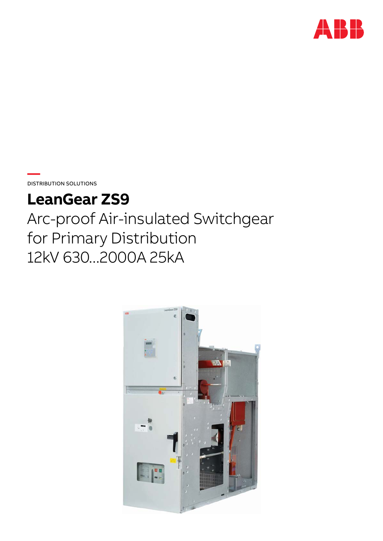

**DISTRIBUTION SOLUTIONS** 

# **LeanGear ZS9**

Arc-proof Air-insulated Switchgear for Primary Distribution 12kV 630...2000A 25kA

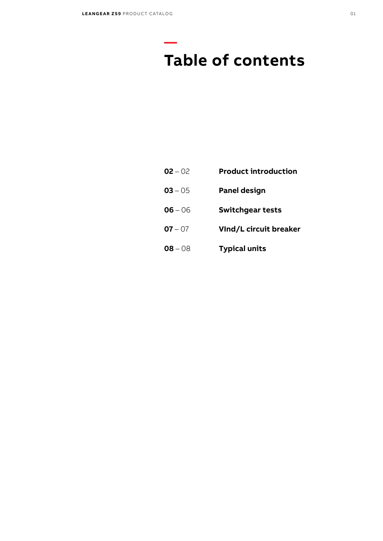**—**

# **Table of contents**

- 02 **Product introduction**
- 05 **Panel design**
- 06 **Switchgear tests**
- 07 **VInd/L circuit breaker**
- 08 **Typical units**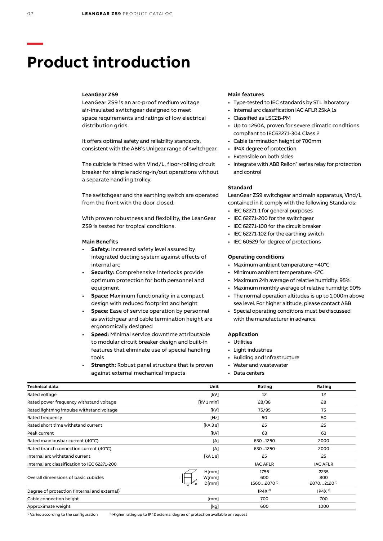# **Product introduction**

#### **LeanGear ZS9**

LeanGear ZS9 is an arc-proof medium voltage air-insulated switchgear designed to meet space requirements and ratings of low electrical distribution grids.

It offers optimal safety and reliability standards, consistent with the ABB's Unigear range of switchgear.

The cubicle is fitted with VInd/L, floor-rolling circuit breaker for simple racking-in/out operations without a separate handling trolley.

The switchgear and the earthing switch are operated from the front with the door closed.

With proven robustness and flexibility, the LeanGear ZS9 is tested for tropical conditions.

### **Main Benefits**

- **Safety:** Increased safety level assured by integrated ducting system against effects of internal arc
- **Security:** Comprehensive interlocks provide optimum protection for both personnel and equipment
- **Space:** Maximum functionality in a compact design with reduced footprint and height
- **Space:** Ease of service operation by personnel as switchgear and cable termination height are ergonomically designed
- **Speed:** Minimal service downtime attributable to modular circuit breaker design and built-in features that eliminate use of special handling tools
- **Strength:** Robust panel structure that is proven against external mechanical impacts

### **Main features**

- Type-tested to IEC standards by STL laboratory
- • Internal arc classification IAC AFLR 25kA 1s
- • Classified as LSC2B-PM
- • Up to 1250A, proven for severe climatic conditions compliant to IEC62271-304 Class 2
- • Cable termination height of 700mm
- • IP4X degree of protection
- • Extensible on both sides
- Integrate with ABB Relion® series relay for protection and control

#### **Standard**

LeanGear ZS9 switchgear and main apparatus, VInd/L contained in it comply with the following Standards:

- IEC 62271-1 for general purposes
- IEC 62271-200 for the switchgear
- • IEC 62271-100 for the circuit breaker
- IEC 62271-102 for the earthing switch
- IEC 60529 for degree of protections

### **Operating conditions**

- • Maximum ambient temperature: +40°C
- Minimum ambient temperature: -5°C
- Maximum 24h average of relative humidity: 95%
- Maximum monthly average of relative humidity: 90%
- The normal operation altitudes is up to 1,000m above sea level. For higher altitude, please contact ABB
- • Special operating conditions must be discussed with the manufacturer in advance

# **Application**

- • Utilities
- Light industries
- • Building and infrastructure
- • Water and wastewater
- • Data centers

| <b>Technical data</b>                        | Unit                    | Rating                                | Rating                                |
|----------------------------------------------|-------------------------|---------------------------------------|---------------------------------------|
| Rated voltage                                | [kV]                    | 12                                    | 12                                    |
| Rated power frequency withstand voltage      | [kV1min]                | 28/38                                 | 28                                    |
| Rated lightning impulse withstand voltage    | [kV]                    | 75/95                                 | 75                                    |
| Rated frequency                              | [Hz]                    | 50                                    | 50                                    |
| Rated short time withstand current           | [kA 3 s]                | 25                                    | 25                                    |
| Peak current                                 | [KA]                    | 63                                    | 63                                    |
| Rated main busbar current (40°C)             | [A]                     | 6301250                               | 2000                                  |
| Rated branch connection current (40°C)       | [A]                     | 6301250                               | 2000                                  |
| Internal arc withstand current               | [kA 1 s]                | 25                                    | 25                                    |
| Internal arc classification to IEC 62271-200 |                         | <b>IAC AFLR</b>                       | <b>IAC AFLR</b>                       |
| Overall dimensions of basic cubicles         | H[mm]<br>W[mm]<br>D[mm] | 1755<br>600<br>15602070 <sup>1)</sup> | 2235<br>800<br>20702120 <sup>1)</sup> |
| Degree of protection (internal and external) |                         | IP4X <sup>2</sup>                     | IP4X <sup>2</sup>                     |
| Cable connection height                      | [mm]                    | 700                                   | 700                                   |
| Approximate weight                           | [kg]                    | 600                                   | 1000                                  |

1) Varies according to the configuration 2) Higher rating up to IP42 external degree of protection available on request

**—**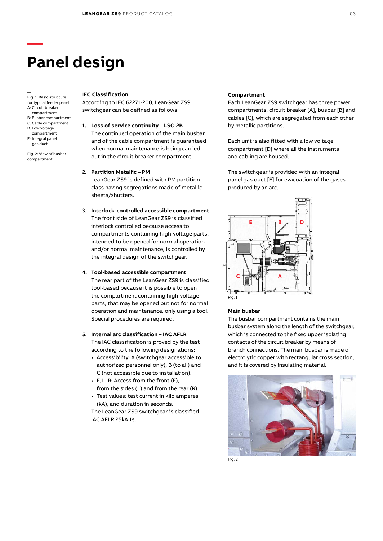# **Panel design**

— Fig. 1: Basic structure for typical feeder panel. A: Circuit breaker compartment B: Busbar compartment C: Cable compartment D: Low voltage compartment E: Integral panel gas duct —

**—**

Fig. 2: View of busbar compartment.

#### **IEC Classification**

According to IEC 62271-200, LeanGear ZS9 switchgear can be defined as follows:

- **1. Loss of service continuity LSC-2B** The continued operation of the main busbar and of the cable compartment is guaranteed when normal maintenance is being carried out in the circuit breaker compartment.
- **2. Partition Metallic PM**

LeanGear ZS9 is defined with PM partition class having segregations made of metallic sheets/shutters.

- 3. **Interlock-controlled accessible compartment** The front side of LeanGear ZS9 is classified interlock controlled because access to compartments containing high-voltage parts, intended to be opened for normal operation and/or normal maintenance, is controlled by the integral design of the switchgear.
- **4. Tool-based accessible compartment** The rear part of the LeanGear ZS9 is classified tool-based because it is possible to open the compartment containing high-voltage parts, that may be opened but not for normal operation and maintenance, only using a tool. Special procedures are required.
- **5. Internal arc classification IAC AFLR** The IAC classification is proved by the test according to the following designations:
	- • Accessibility: A (switchgear accessible to authorized personnel only), B (to all) and C (not accessible due to installation).
	- • F, L, R: Access from the front (F), from the sides (L) and from the rear (R).
	- • Test values: test current in kilo amperes (kA), and duration in seconds.

The LeanGear ZS9 switchgear is classified IAC AFLR 25kA 1s.

### **Compartment**

Each LeanGear ZS9 switchgear has three power compartments: circuit breaker [A], busbar [B] and cables [C], which are segregated from each other by metallic partitions.

Each unit is also fitted with a low voltage compartment [D] where all the instruments and cabling are housed.

The switchgear is provided with an integral panel gas duct [E] for evacuation of the gases produced by an arc.



Fig. 1

#### **Main busbar**

The busbar compartment contains the main busbar system along the length of the switchgear, which is connected to the fixed upper isolating contacts of the circuit breaker by means of branch connections. The main busbar is made of electrolytic copper with rectangular cross section, and it is covered by insulating material.



Fig. 2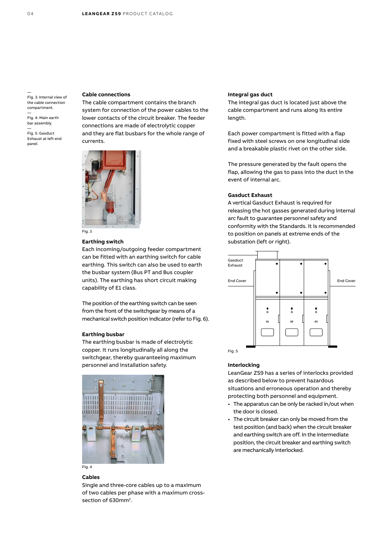— Fig. 3: Internal view of the cable connection compartment. —

Fig. 4: Main earth bar assembly.

— Fig. 5: Gasduct Exhaust at left end panel.

# **Cable connections**

The cable compartment contains the branch system for connection of the power cables to the lower contacts of the circuit breaker. The feeder connections are made of electrolytic copper and they are flat busbars for the whole range of currents.



# **Earthing switch**

Each incoming/outgoing feeder compartment can be fitted with an earthing switch for cable earthing. This switch can also be used to earth the busbar system (Bus PT and Bus coupler units). The earthing has short circuit making capability of E1 class.

The position of the earthing switch can be seen from the front of the switchgear by means of a mechanical switch position indicator (refer to Fig. 6).

# **Earthing busbar**

The earthing busbar is made of electrolytic copper. It runs longitudinally all along the switchgear, thereby guaranteeing maximum personnel and installation safety.



#### **Cables**

Single and three-core cables up to a maximum of two cables per phase with a maximum crosssection of  $630$ mm<sup>2</sup>.

#### **Integral gas duct**

The integral gas duct is located just above the cable compartment and runs along its entire length.

Each power compartment is fitted with a flap fixed with steel screws on one longitudinal side and a breakable plastic rivet on the other side.

The pressure generated by the fault opens the flap, allowing the gas to pass into the duct in the event of internal arc.

### **Gasduct Exhaust**

A vertical Gasduct Exhaust is required for releasing the hot gasses generated during internal arc fault to guarantee personnel safety and conformity with the Standards. It is recommended to position on panels at extreme ends of the substation (left or right).



### **Interlocking**

LeanGear ZS9 has a series of interlocks provided as described below to prevent hazardous situations and erroneous operation and thereby protecting both personnel and equipment.

- The apparatus can be only be racked in/out when the door is closed.
- The circuit breaker can only be moved from the test position (and back) when the circuit breaker and earthing switch are off. In the intermediate position, the circuit breaker and earthing switch are mechanically interlocked.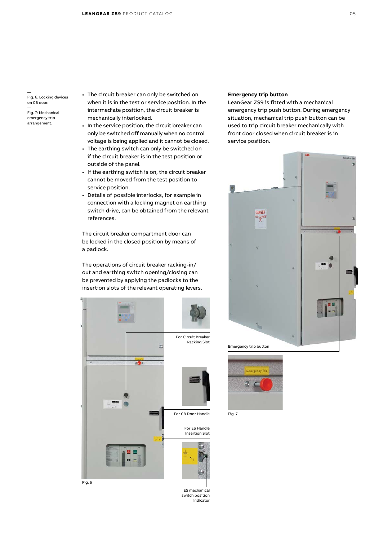Fig. 6: Locking devices on CB door.

— Fig. 7: Mechanical emergency trip arrangement.

—

- The circuit breaker can only be switched on when it is in the test or service position. In the intermediate position, the circuit breaker is mechanically interlocked.
- In the service position, the circuit breaker can only be switched off manually when no control voltage is being applied and it cannot be closed.
- The earthing switch can only be switched on if the circuit breaker is in the test position or outside of the panel.
- If the earthing switch is on, the circuit breaker cannot be moved from the test position to service position.
- • Details of possible interlocks, for example in connection with a locking magnet on earthing switch drive, can be obtained from the relevant references.

The circuit breaker compartment door can be locked in the closed position by means of a padlock.

The operations of circuit breaker racking-in/ out and earthing switch opening/closing can be prevented by applying the padlocks to the insertion slots of the relevant operating levers.



ES mechanical switch position indicator

#### **Emergency trip button**

LeanGear ZS9 is fitted with a mechanical emergency trip push button. During emergency situation, mechanical trip push button can be used to trip circuit breaker mechanically with front door closed when circuit breaker is in service position.





Fig. 7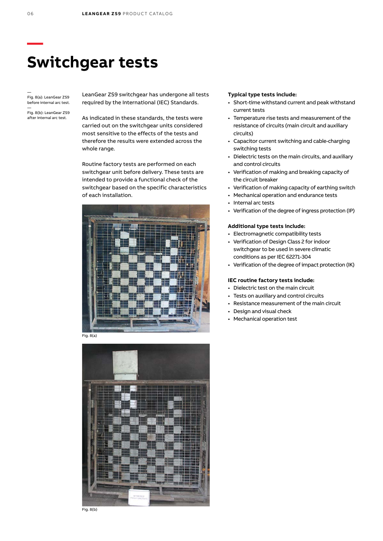# **Switchgear tests**

— Fig. 8(a): LeanGear ZS9 before internal arc test.

— Fig. 8(b): LeanGear ZS9 after internal arc test.

LeanGear ZS9 switchgear has undergone all tests required by the International (IEC) Standards.

As indicated in these standards, the tests were carried out on the switchgear units considered most sensitive to the effects of the tests and therefore the results were extended across the whole range.

Routine factory tests are performed on each switchgear unit before delivery. These tests are intended to provide a functional check of the switchgear based on the specific characteristics of each installation.



Fig. 8(a)



#### **Typical type tests include:**

- • Short-time withstand current and peak withstand current tests
- • Temperature rise tests and measurement of the resistance of circuits (main circuit and auxiliary circuits)
- • Capacitor current switching and cable-charging switching tests
- • Dielectric tests on the main circuits, and auxiliary and control circuits
- • Verification of making and breaking capacity of the circuit breaker
- • Verification of making capacity of earthing switch
- • Mechanical operation and endurance tests
- • Internal arc tests
- Verification of the degree of ingress protection (IP)

# **Additional type tests include:**

- • Electromagnetic compatibility tests
- Verification of Design Class 2 for indoor switchgear to be used in severe climatic conditions as per IEC 62271-304
- Verification of the degree of impact protection (IK)

# **IEC routine factory tests include:**

- • Dielectric test on the main circuit
- • Tests on auxiliary and control circuits
- • Resistance measurement of the main circuit
- • Design and visual check
- • Mechanical operation test

**—**

Fig. 8(b)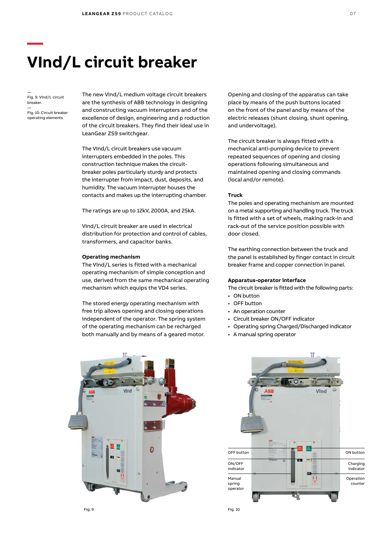# **VInd/L circuit breaker**

— Fig. 9: VInd/L circuit breaker.

**—**

— Fig. 10: Circuit breaker operating elements.

The new VInd/L medium voltage circuit breakers are the synthesis of ABB technology in designing and constructing vacuum interrupters and of the excellence of design, engineering and p roduction of the circuit breakers. They find their ideal use in LeanGear ZS9 switchgear.

The VInd/L circuit breakers use vacuum interrupters embedded in the poles. This construction technique makes the circuitbreaker poles particularly sturdy and protects the interrupter from impact, dust, deposits, and humidity. The vacuum interrupter houses the contacts and makes up the interrupting chamber.

The ratings are up to 12kV, 2000A, and 25kA.

VInd/L circuit breaker are used in electrical distribution for protection and control of cables, transformers, and capacitor banks.

#### **Operating mechanism**

The VInd/L series is fitted with a mechanical operating mechanism of simple conception and use, derived from the same mechanical operating mechanism which equips the VD4 series.

The stored energy operating mechanism with free trip allows opening and closing operations independent of the operator. The spring system of the operating mechanism can be recharged both manually and by means of a geared motor.

Opening and closing of the apparatus can take place by means of the push buttons located on the front of the panel and by means of the electric releases (shunt closing, shunt opening, and undervoltage).

The circuit breaker is always fitted with a mechanical anti-pumping device to prevent repeated sequences of opening and closing operations following simultaneous and maintained opening and closing commands (local and/or remote).

### **Truck**

The poles and operating mechanism are mounted on a metal supporting and handling truck. The truck is fitted with a set of wheels, making rack-in and rack-out of the service position possible with door closed.

The earthing connection between the truck and the panel is established by finger contact in circuit breaker frame and copper connection in panel.

# **Apparatus-operator interface**

The circuit breaker is fitted with the following parts:

- ON button
- OFF button
- An operation counter
- • Circuit breaker ON/OFF indicator
- • Operating spring Charged/Discharged indicator
- • A manual spring operator



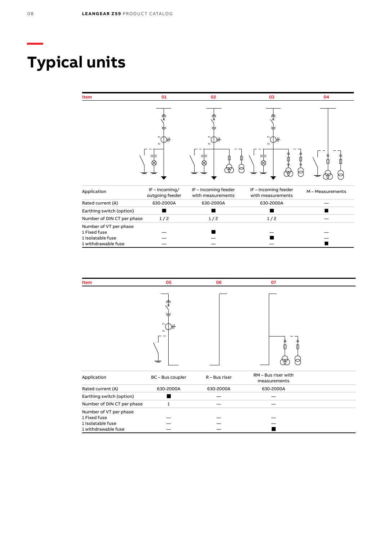# **Typical units**

| Item                                                                               | 01                              | 02                                        | 03                                        | 04               |
|------------------------------------------------------------------------------------|---------------------------------|-------------------------------------------|-------------------------------------------|------------------|
|                                                                                    | P1<br>P <sub>2</sub>            | P1<br><b>P2</b><br>∞                      | P1<br><b>P2</b>                           |                  |
| Application                                                                        | IF-Incoming/<br>outgoing feeder | IF - Incoming feeder<br>with measurements | IF - Incoming feeder<br>with measurements | M - Measurements |
| Rated current (A)                                                                  | 630-2000A                       | 630-2000A                                 | 630-2000A                                 |                  |
| Earthing switch (option)                                                           |                                 |                                           |                                           |                  |
| Number of DIN CT per phase                                                         | 1/2                             | 1/2                                       | 1/2                                       |                  |
| Number of VT per phase<br>1 Fixed fuse<br>1 Isolatable fuse<br>1 withdrawable fuse |                                 |                                           |                                           |                  |



**—**